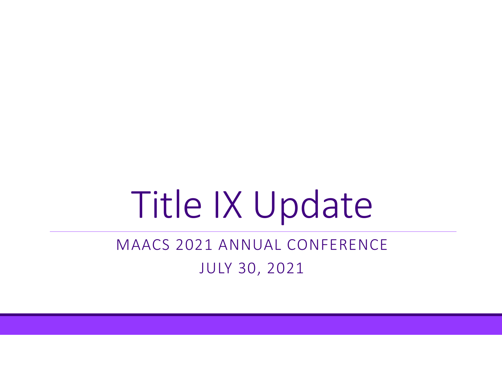# Title IX Update

#### MAACS 2021 ANNUAL CONFERENCE JULY 30, 2021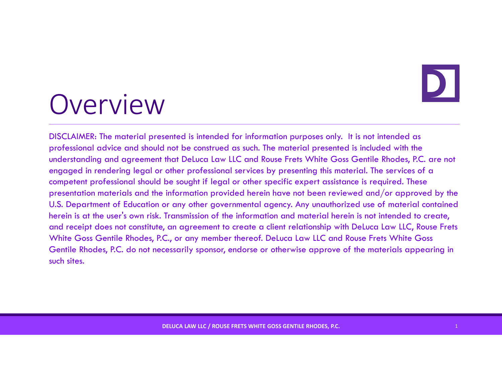## Overview

DISCLAIMER: The material presented is intended for information purposes only. It is not intended as professional advice and should not be construed as such. The material presented is included with the understanding and agreement that DeLuca Law LLC and Rouse Frets White Goss Gentile Rhodes, P.C. are not engaged in rendering legal or other professional services by presenting this material. The services of a competent professional should be sought if legal or other specific expert assistance is required. These presentation materials and the information provided herein have not been reviewed and/or approved by the U.S. Department of Education or any other governmental agency. Any unauthorized use of material contained herein is at the user's own risk. Transmission of the information and material herein is not intended to create, and receipt does not constitute, an agreement to create a client relationship with DeLuca Law LLC, Rouse Frets White Goss Gentile Rhodes, P.C., or any member thereof. DeLuca Law LLC and Rouse Frets White Goss Gentile Rhodes, P.C. do not necessarily sponsor, endorse or otherwise approve of the materials appearing in such sites.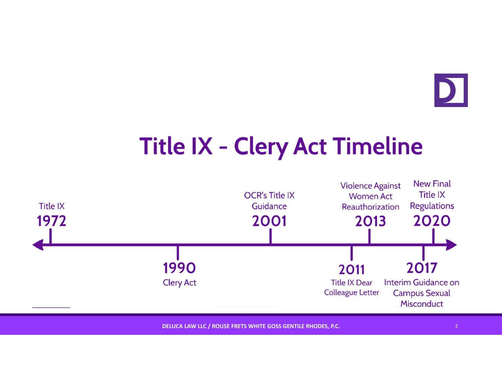

## **Title IX - Clery Act Timeline**



**DELUCA LAW LLC / ROUSE FRETS WHITE GOSS GENTILE RHODES, P.C.** <sup>2</sup>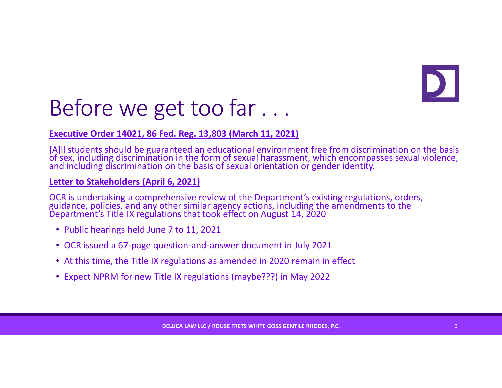## Before we get too far . . .

#### **Executive Order 14021, 86 Fed. Reg. 13,803 (March 11, 2021)**

[A]II students should be guaranteed an educational environment free from discrimination on the basis<br>of sex. including discrimination in the form of sexual harassment. which encompasses sexual violence. of sex, including discrimination in the form of sexual harassment, which encompasses sexual violence,<br>and including discrimination on the basis of sexual orientation or gender identity.

#### **Letter to Stakeholders (April 6, 2021)**

OCR is undertaking a comprehensive review of the Department's existing regulations, orders, guidance, policies, and any other similar agency actions, including the amendments to the Department's Title IX regulations that took effect on August 14, 2020

- Public hearings held June 7 to 11, 2021
- OCR issued <sup>a</sup> 67‐page question‐and‐answer document in July 2021
- At this time, the Title IX regulations as amended in 2020 remain in effect
- Expect NPRM for new Title IX regulations (maybe???) in May 2022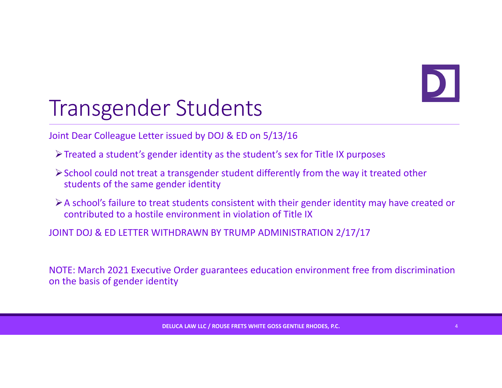### Transgender Students

Joint Dear Colleague Letter issued by DOJ & ED on 5/13/16

- Treated <sup>a</sup> student's gender identity as the student's sex for Title IX purposes
- School could not treat <sup>a</sup> transgender student differently from the way it treated other students of the same gender identity
- A school's failure to treat students consistent with their gender identity may have created or contributed to <sup>a</sup> hostile environment in violation of Title IX

JOINT DOJ & ED LETTER WITHDRAWN BY TRUMP ADMINISTRATION 2/17/17

NOTE: March 2021 Executive Order guarantees education environment free from discrimination on the basis of gender identity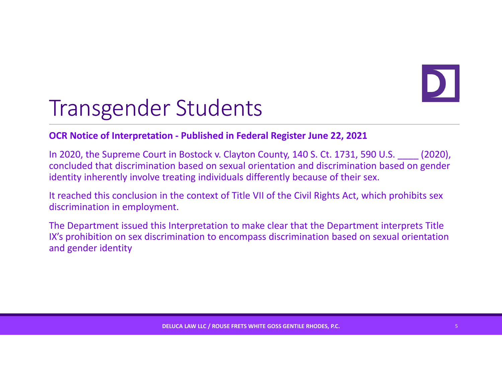#### Transgender Students

#### **OCR Notice of Interpretation ‐ Published in Federal Register June 22, 2021**

In 2020, the Supreme Court in Bostock v. Clayton County, 140 S. Ct. 1731, 590 U.S. \_\_\_\_ (2020), concluded that discrimination based on sexual orientation and discrimination based on gender identity inherently involve treating individuals differently because of their sex.

It reached this conclusion in the context of Title VII of the Civil Rights Act, which prohibits sex discrimination in employment.

The Department issued this Interpretation to make clear that the Department interprets Title IX's prohibition on sex discrimination to encompass discrimination based on sexual orientation and gender identity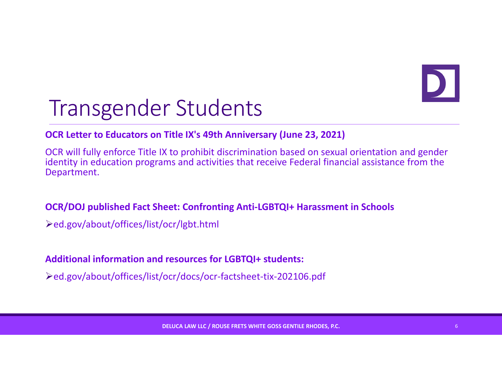## Transgender Students

#### **OCR Letter to Educators on Title IX's 49th Anniversary (June 23, 2021)**

OCR will fully enforce Title IX to prohibit discrimination based on sexual orientation and gender identity in education programs and activities that receive Federal financial assistance from the Department.

#### **OCR/DOJ published Fact Sheet: Confronting Anti‐LGBTQI+ Harassment in Schools**

ed.gov/about/offices/list/ocr/lgbt.html

#### **Additional information and resources for LGBTQI+ students:**

ed.gov/about/offices/list/ocr/docs/ocr‐factsheet‐tix‐202106.pdf

**DELUCA LAW LLC / ROUSE FRETS WHITE GOSS GENTILE RHODES, P.C.** <sup>6</sup>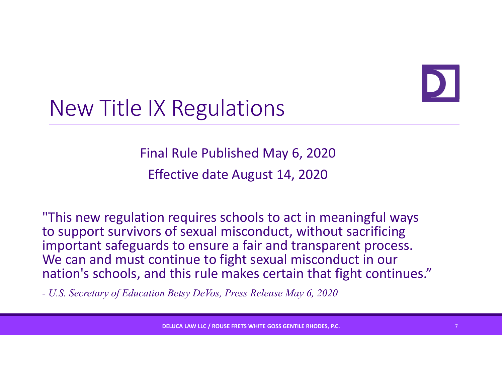

### New Title IX Regulations

Final Rule Published May 6, 2020 Effective date August 14, 2020

"This new regulation requires schools to act in meaningful ways to support survivors of sexual misconduct, without sacrificing important safeguards to ensure <sup>a</sup> fair and transparent process. We can and must continue to fight sexual misconduct in our nation's schools, and this rule makes certain that fight continues."

*- U.S. Secretary of Education Betsy DeVos, Press Release May 6, 2020*

**DELUCA LAW LLC / ROUSE FRETS WHITE GOSS GENTILE RHODES, P.C.** <sup>7</sup>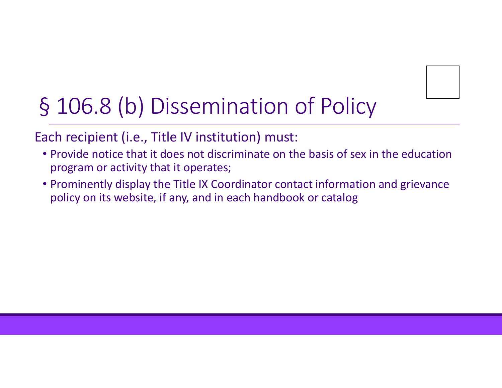## § 106.8 (b) Dissemination of Policy

Each recipient (i.e., Title IV institution) must:

- Provide notice that it does not discriminate on the basis of sex in the education program or activity that it operates;
- Prominently display the Title IX Coordinator contact information and grievance policy on its website, if any, and in each handbook or catalog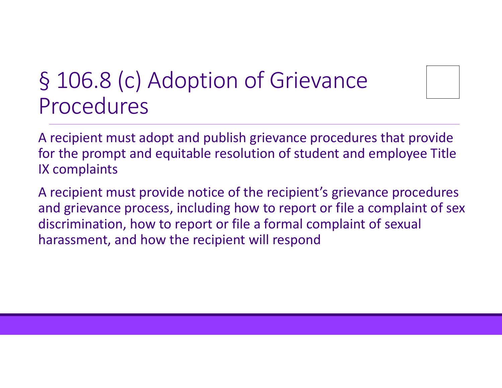#### § 106.8 (c) Adoption of Grievance Procedures

A recipient must adopt and publish grievance procedures that provide for the prompt and equitable resolution of student and employee Title IX complaints

A recipient must provide notice of the recipient's grievance procedures and grievance process, including how to report or file <sup>a</sup> complaint of sex discrimination, how to report or file <sup>a</sup> formal complaint of sexual harassment, and how the recipient will respond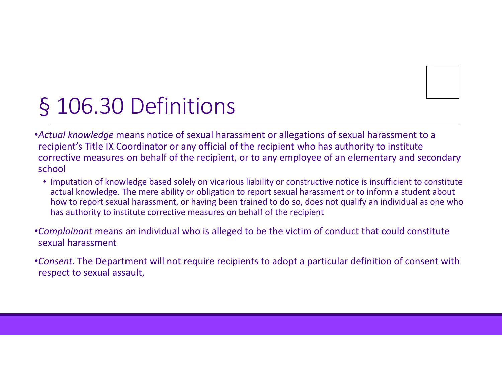

## § 106.30 Definitions

•*Actual knowledge* means notice of sexual harassment or allegations of sexual harassment to <sup>a</sup> recipient's Title IX Coordinator or any official of the recipient who has authority to institute corrective measures on behalf of the recipient, or to any employee of an elementary and secondary school

• Imputation of knowledge based solely on vicarious liability or constructive notice is insufficient to constitute actual knowledge. The mere ability or obligation to report sexual harassment or to inform <sup>a</sup> student about how to report sexual harassment, or having been trained to do so, does not qualify an individual as one who has authority to institute corrective measures on behalf of the recipient

•*Complainant* means an individual who is alleged to be the victim of conduct that could constitute sexual harassment

•*Consent.* The Department will not require recipients to adopt <sup>a</sup> particular definition of consent with respect to sexual assault,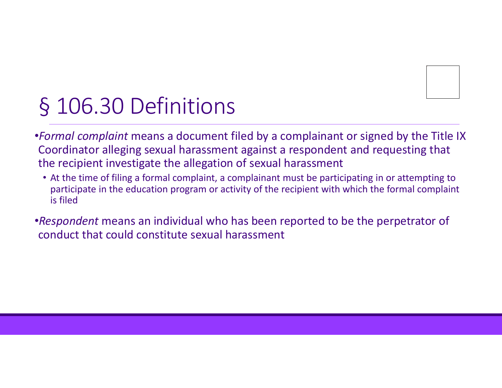

## § 106.30 Definitions

•*Formal complaint* means <sup>a</sup> document filed by <sup>a</sup> complainant or signed by the Title IX Coordinator alleging sexual harassment against <sup>a</sup> respondent and requesting that the recipient investigate the allegation of sexual harassment

- At the time of filing <sup>a</sup> formal complaint, <sup>a</sup> complainant must be participating in or attempting to participate in the education program or activity of the recipient with which the formal complaint is filed
- •*Respondent* means an individual who has been reported to be the perpetrator of conduct that could constitute sexual harassment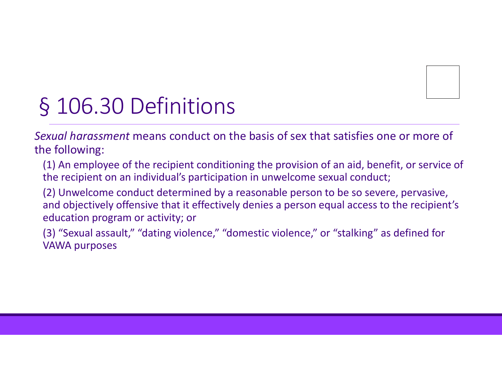

## § 106.30 Definitions

*Sexual harassment* means conduct on the basis of sex that satisfies one or more of the following:

(1) An employee of the recipient conditioning the provision of an aid, benefit, or service of the recipient on an individual's participation in unwelcome sexual conduct;

(2) Unwelcome conduct determined by <sup>a</sup> reasonable person to be so severe, pervasive, and objectively offensive that it effectively denies <sup>a</sup> person equal access to the recipient's education program or activity; or

(3) "Sexual assault," "dating violence," "domestic violence," or "stalking" as defined for VAWA purposes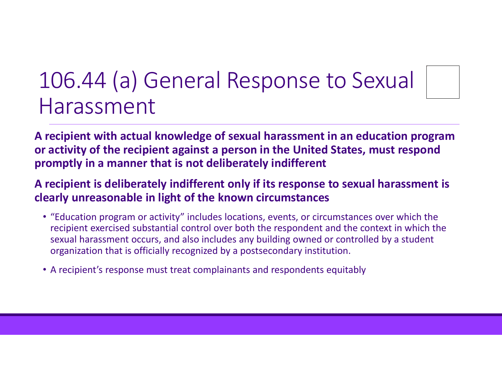#### 106.44 (a) General Response to Sexual Harassment

**A recipient with actual knowledge of sexual harassment in an education program or activity of the recipient against <sup>a</sup> person in the United States, must respond promptly in <sup>a</sup> manner that is not deliberately indifferent**

#### **A recipient is deliberately indifferent only if its response to sexual harassment is clearly unreasonable in light of the known circumstances**

- "Education program or activity" includes locations, events, or circumstances over which the recipient exercised substantial control over both the respondent and the context in which the sexual harassment occurs, and also includes any building owned or controlled by <sup>a</sup> student organization that is officially recognized by <sup>a</sup> postsecondary institution.
- A recipient's response must treat complainants and respondents equitably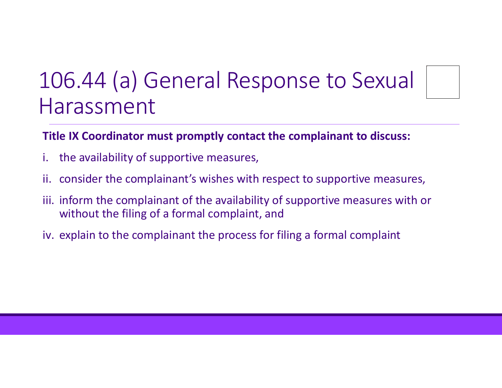#### 106.44 (a) General Response to Sexual Harassment

#### **Title IX Coordinator must promptly contact the complainant to discuss:**

- i. the availability of supportive measures,
- ii. consider the complainant's wishes with respect to supportive measures,
- iii. inform the complainant of the availability of supportive measures with or without the filing of <sup>a</sup> formal complaint, and
- iv. explain to the complainant the process for filing <sup>a</sup> formal complaint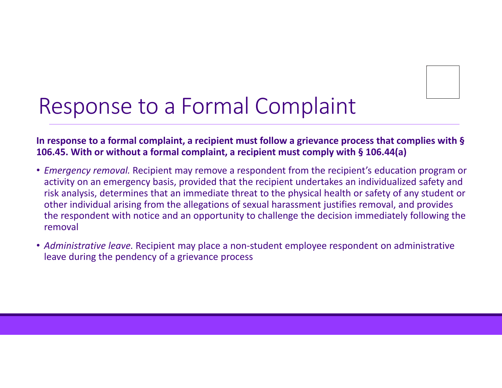

## Response to <sup>a</sup> Formal Complaint

#### **In response to <sup>a</sup> formal complaint, <sup>a</sup> recipient must follow <sup>a</sup> grievance process that complies with § 106.45. With or without <sup>a</sup> formal complaint, <sup>a</sup> recipient must comply with § 106.44(a)**

- *Emergency removal.* Recipient may remove <sup>a</sup> respondent from the recipient's education program or activity on an emergency basis, provided that the recipient undertakes an individualized safety and risk analysis, determines that an immediate threat to the physical health or safety of any student or other individual arising from the allegations of sexual harassment justifies removal, and provides the respondent with notice and an opportunity to challenge the decision immediately following the removal
- *Administrative leave.* Recipient may place <sup>a</sup> non‐student employee respondent on administrative leave during the pendency of <sup>a</sup> grievance process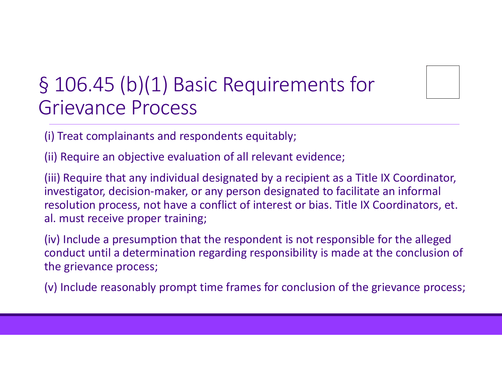#### § 106.45 (b)(1) Basic Requirements for Grievance Process

(i) Treat complainants and respondents equitably;

(ii) Require an objective evaluation of all relevant evidence;

(iii) Require that any individual designated by <sup>a</sup> recipient as <sup>a</sup> Title IX Coordinator, investigator, decision‐maker, or any person designated to facilitate an informal resolution process, not have <sup>a</sup> conflict of interest or bias. Title IX Coordinators, et. al. must receive proper training;

(iv) Include <sup>a</sup> presumption that the respondent is not responsible for the alleged conduct until <sup>a</sup> determination regarding responsibility is made at the conclusion of the grievance process;

(v) Include reasonably prompt time frames for conclusion of the grievance process;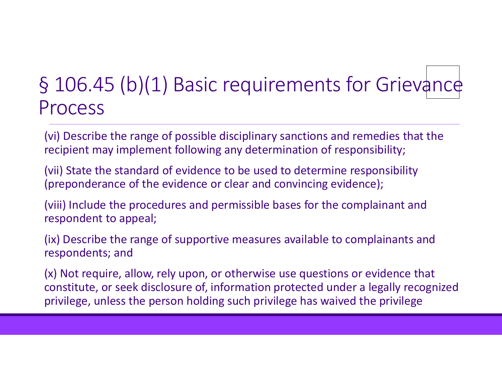#### § 106.45 (b)(1) Basic requirements for Grievance Process

(vi) Describe the range of possible disciplinary sanctions and remedies that the recipient may implement following any determination of responsibility;

(vii) State the standard of evidence to be used to determine responsibility (preponderance of the evidence or clear and convincing evidence);

(viii) Include the procedures and permissible bases for the complainant and respondent to appeal;

(ix) Describe the range of supportive measures available to complainants and respondents; and

(x) Not require, allow, rely upon, or otherwise use questions or evidence that constitute, or seek disclosure of, information protected under <sup>a</sup> legally recognized privilege, unless the person holding such privilege has waived the privilege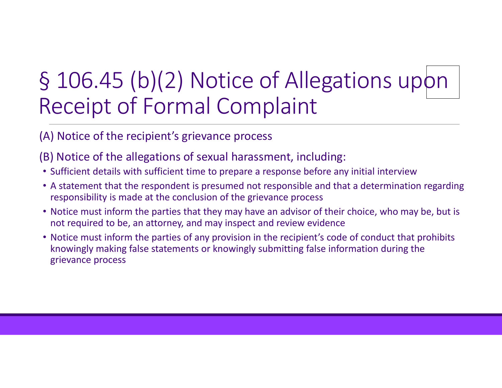## § 106.45 (b)(2) Notice of Allegations upon Receipt of Formal Complaint

#### (A) Notice of the recipient's grievance process

- (B) Notice of the allegations of sexual harassment, including:
- Sufficient details with sufficient time to prepare <sup>a</sup> response before any initial interview
- A statement that the respondent is presumed not responsible and that <sup>a</sup> determination regarding responsibility is made at the conclusion of the grievance process
- Notice must inform the parties that they may have an advisor of their choice, who may be, but is not required to be, an attorney, and may inspect and review evidence
- Notice must inform the parties of any provision in the recipient's code of conduct that prohibits knowingly making false statements or knowingly submitting false information during the grievance process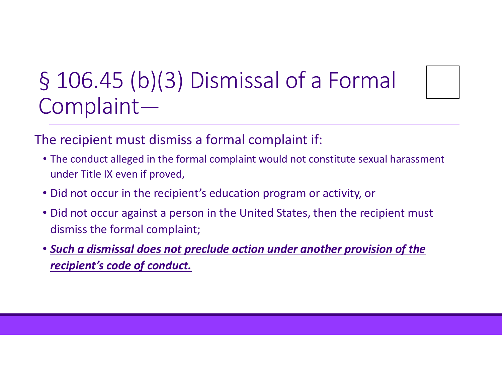## § 106.45 (b)(3) Dismissal of <sup>a</sup> Formal Complaint*—*

The recipient must dismiss <sup>a</sup> formal complaint if:

- The conduct alleged in the formal complaint would not constitute sexual harassment under Title IX even if proved,
- Did not occur in the recipient's education program or activity, or
- Did not occur against <sup>a</sup> person in the United States, then the recipient must dismiss the formal complaint;
- *Such a dismissal does not preclude action under another provision of the recipient's code of conduct.*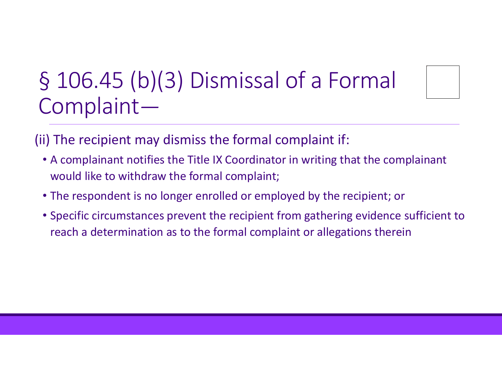## § 106.45 (b)(3) Dismissal of <sup>a</sup> Formal Complaint*—*

(ii) The recipient may dismiss the formal complaint if:

- A complainant notifies the Title IX Coordinator in writing that the complainant would like to withdraw the formal complaint;
- The respondent is no longer enrolled or employed by the recipient; or
- Specific circumstances prevent the recipient from gathering evidence sufficient to reach <sup>a</sup> determination as to the formal complaint or allegations therein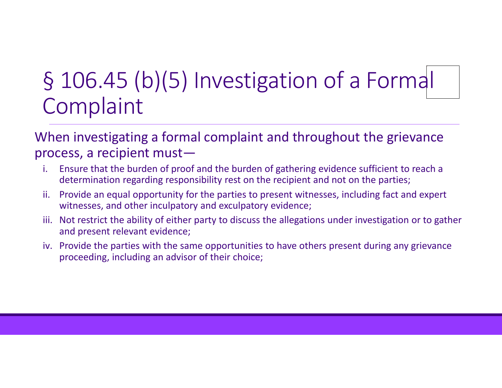## § 106.45 (b)(5) Investigation of <sup>a</sup> Formal Complaint

#### When investigating <sup>a</sup> formal complaint and throughout the grievance process, <sup>a</sup> recipient must—

- i. Ensure that the burden of proof and the burden of gathering evidence sufficient to reach <sup>a</sup> determination regarding responsibility rest on the recipient and not on the parties;
- ii. Provide an equal opportunity for the parties to present witnesses, including fact and expert witnesses, and other inculpatory and exculpatory evidence;
- iii. Not restrict the ability of either party to discuss the allegations under investigation or to gather and present relevant evidence;
- iv. Provide the parties with the same opportunities to have others present during any grievance proceeding, including an advisor of their choice;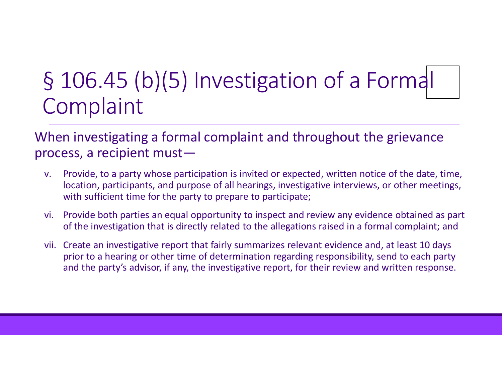### § 106.45 (b)(5) Investigation of <sup>a</sup> Formal Complaint

When investigating <sup>a</sup> formal complaint and throughout the grievance process, <sup>a</sup> recipient must—

- v. Provide, to <sup>a</sup> party whose participation is invited or expected, written notice of the date, time, location, participants, and purpose of all hearings, investigative interviews, or other meetings, with sufficient time for the party to prepare to participate;
- vi. Provide both parties an equal opportunity to inspect and review any evidence obtained as part of the investigation that is directly related to the allegations raised in <sup>a</sup> formal complaint; and
- vii. Create an investigative report that fairly summarizes relevant evidence and, at least 10 days prior to <sup>a</sup> hearing or other time of determination regarding responsibility, send to each party and the party's advisor, if any, the investigative report, for their review and written response.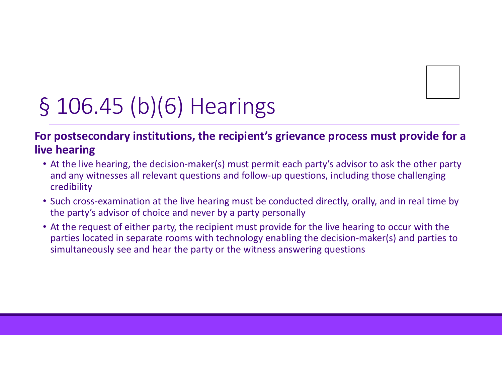

## § 106.45 (b)(6) Hearings

#### **For postsecondary institutions, the recipient's grievance process must provide for <sup>a</sup> live hearing**

- At the live hearing, the decision‐maker(s) must permit each party's advisor to ask the other party and any witnesses all relevant questions and follow‐up questions, including those challenging credibility
- Such cross‐examination at the live hearing must be conducted directly, orally, and in real time by the party's advisor of choice and never by <sup>a</sup> party personally
- At the request of either party, the recipient must provide for the live hearing to occur with the parties located in separate rooms with technology enabling the decision‐maker(s) and parties to simultaneously see and hear the party or the witness answering questions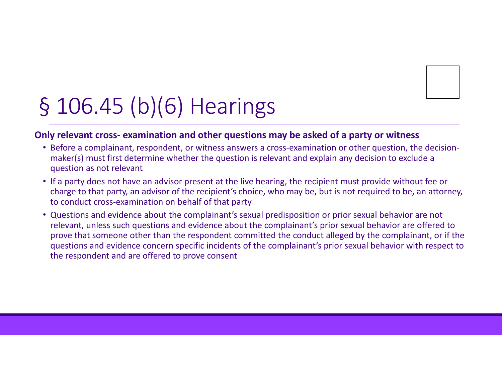

## § 106.45 (b)(6) Hearings

#### **Only relevant cross‐ examination and other questions may be asked of <sup>a</sup> party or witness**

- Before a complainant, respondent, or witness answers a cross-examination or other question, the decisionmaker(s) must first determine whether the question is relevant and explain any decision to exclude <sup>a</sup> question as not relevant
- If <sup>a</sup> party does not have an advisor present at the live hearing, the recipient must provide without fee or charge to that party, an advisor of the recipient's choice, who may be, but is not required to be, an attorney, to conduct cross‐examination on behalf of that party
- Questions and evidence about the complainant's sexual predisposition or prior sexual behavior are not relevant, unless such questions and evidence about the complainant's prior sexual behavior are offered to prove that someone other than the respondent committed the conduct alleged by the complainant, or if the questions and evidence concern specific incidents of the complainant's prior sexual behavior with respect to the respondent and are offered to prove consent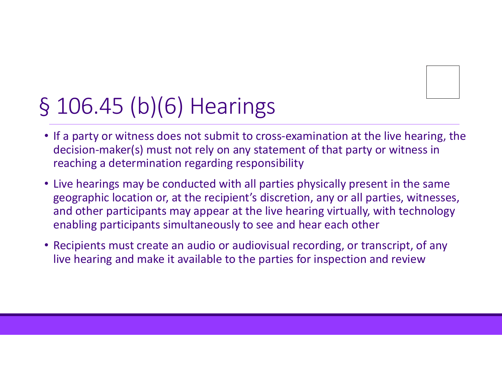## § 106.45 (b)(6) Hearings

- If <sup>a</sup> party or witness does not submit to cross‐examination at the live hearing, the decision‐maker(s) must not rely on any statement of that party or witness in reaching <sup>a</sup> determination regarding responsibility
- Live hearings may be conducted with all parties physically present in the same geographic location or, at the recipient's discretion, any or all parties, witnesses, and other participants may appear at the live hearing virtually, with technology enabling participants simultaneously to see and hear each other
- Recipients must create an audio or audiovisual recording, or transcript, of any live hearing and make it available to the parties for inspection and review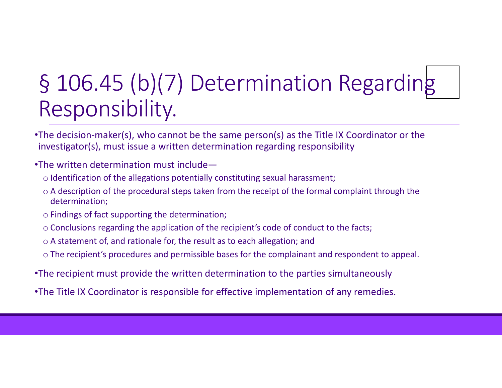## § 106.45 (b)(7) Determination Regarding Responsibility.

- •The decision‐maker(s), who cannot be the same person(s) as the Title IX Coordinator or the investigator(s), must issue <sup>a</sup> written determination regarding responsibility
- •The written determination must include
	- o Identification of the allegations potentially constituting sexual harassment;
	- $\circ$  A description of the procedural steps taken from the receipt of the formal complaint through the determination;
	- $\circ$  Findings of fact supporting the determination;
	- $\circ$  Conclusions regarding the application of the recipient's code of conduct to the facts;
	- $\circ$  A statement of, and rationale for, the result as to each allegation; and
	- $\circ$  The recipient's procedures and permissible bases for the complainant and respondent to appeal.
- •The recipient must provide the written determination to the parties simultaneously
- •The Title IX Coordinator is responsible for effective implementation of any remedies.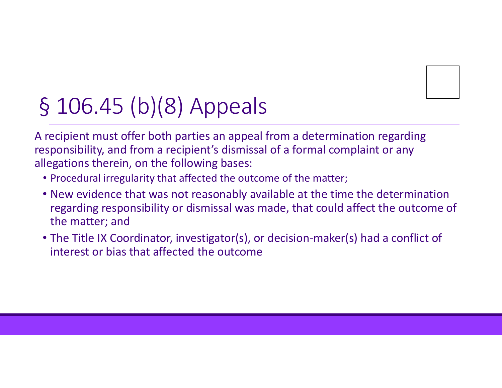## § 106.45 (b)(8) Appeals

A recipient must offer both parties an appeal from <sup>a</sup> determination regarding responsibility, and from <sup>a</sup> recipient's dismissal of <sup>a</sup> formal complaint or any allegations therein, on the following bases:

- Procedural irregularity that affected the outcome of the matter;
- New evidence that was not reasonably available at the time the determination regarding responsibility or dismissal was made, that could affect the outcome of the matter; and
- The Title IX Coordinator, investigator(s), or decision‐maker(s) had <sup>a</sup> conflict of interest or bias that affected the outcome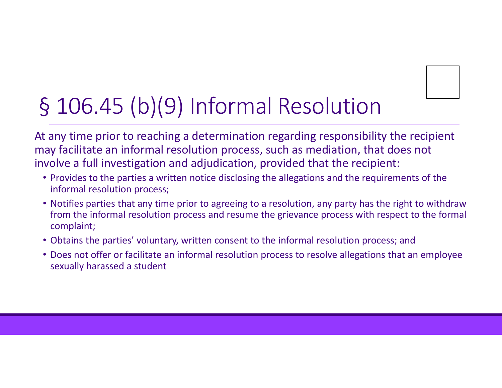## § 106.45 (b)(9) Informal Resolution

At any time prior to reaching <sup>a</sup> determination regarding responsibility the recipient may facilitate an informal resolution process, such as mediation, that does not involve <sup>a</sup> full investigation and adjudication, provided that the recipient:

- Provides to the parties <sup>a</sup> written notice disclosing the allegations and the requirements of the informal resolution process;
- Notifies parties that any time prior to agreeing to <sup>a</sup> resolution, any party has the right to withdraw from the informal resolution process and resume the grievance process with respect to the formal complaint;
- Obtains the parties' voluntary, written consent to the informal resolution process; and
- Does not offer or facilitate an informal resolution process to resolve allegations that an employee sexually harassed <sup>a</sup> student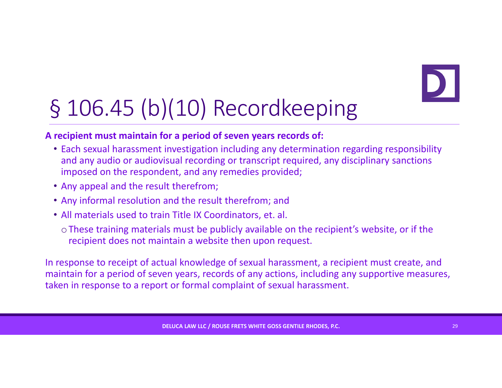## § 106.45 (b)(10) Recordkeeping

#### **A recipient must maintain for <sup>a</sup> period of seven years records of:**

- Each sexual harassment investigation including any determination regarding responsibility and any audio or audiovisual recording or transcript required, any disciplinary sanctions imposed on the respondent, and any remedies provided;
- Any appeal and the result therefrom;
- Any informal resolution and the result therefrom; and
- All materials used to train Title IX Coordinators, et. al.
	- oThese training materials must be publicly available on the recipient's website, or if the recipient does not maintain <sup>a</sup> website then upon request.

In response to receipt of actual knowledge of sexual harassment, <sup>a</sup> recipient must create, and maintain for <sup>a</sup> period of seven years, records of any actions, including any supportive measures, taken in response to <sup>a</sup> report or formal complaint of sexual harassment.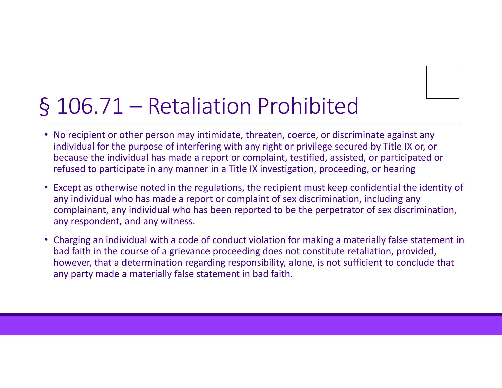## § 106.71 – Retaliation Prohibited

- No recipient or other person may intimidate, threaten, coerce, or discriminate against any individual for the purpose of interfering with any right or privilege secured by Title IX or, or because the individual has made <sup>a</sup> report or complaint, testified, assisted, or participated or refused to participate in any manner in <sup>a</sup> Title IX investigation, proceeding, or hearing
- Except as otherwise noted in the regulations, the recipient must keep confidential the identity of any individual who has made <sup>a</sup> report or complaint of sex discrimination, including any complainant, any individual who has been reported to be the perpetrator of sex discrimination, any respondent, and any witness.
- Charging an individual with <sup>a</sup> code of conduct violation for making <sup>a</sup> materially false statement in bad faith in the course of <sup>a</sup> grievance proceeding does not constitute retaliation, provided, however, that <sup>a</sup> determination regarding responsibility, alone, is not sufficient to conclude that any party made <sup>a</sup> materially false statement in bad faith.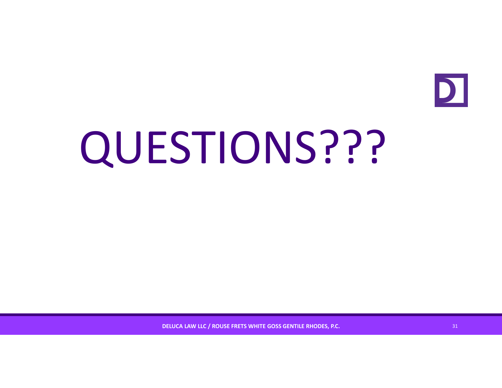

# QUESTIONS???

**DELUCA LAW LLC / ROUSE FRETS WHITE GOSS GENTILE RHODES, P.C.** <sup>31</sup>